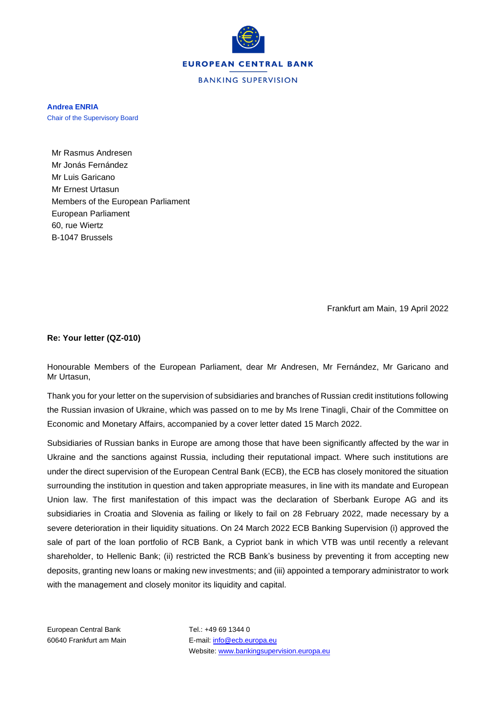

**Andrea ENRIA** Chair of the Supervisory Board

Mr Rasmus Andresen Mr Jonás Fernández Mr Luis Garicano Mr Ernest Urtasun Members of the European Parliament European Parliament 60, rue Wiertz B-1047 Brussels

Frankfurt am Main, 19 April 2022

## **Re: Your letter (QZ-010)**

Honourable Members of the European Parliament, dear Mr Andresen, Mr Fernández, Mr Garicano and Mr Urtasun,

Thank you for your letter on the supervision of subsidiaries and branches of Russian credit institutions following the Russian invasion of Ukraine, which was passed on to me by Ms Irene Tinagli, Chair of the Committee on Economic and Monetary Affairs, accompanied by a cover letter dated 15 March 2022.

Subsidiaries of Russian banks in Europe are among those that have been significantly affected by the war in Ukraine and the sanctions against Russia, including their reputational impact. Where such institutions are under the direct supervision of the European Central Bank (ECB), the ECB has closely monitored the situation surrounding the institution in question and taken appropriate measures, in line with its mandate and European Union law. The first manifestation of this impact was the declaration of Sberbank Europe AG and its subsidiaries in Croatia and Slovenia as failing or likely to fail on 28 February 2022, made necessary by a severe deterioration in their liquidity situations. On 24 March 2022 ECB Banking Supervision (i) approved the sale of part of the loan portfolio of RCB Bank, a Cypriot bank in which VTB was until recently a relevant shareholder, to Hellenic Bank; (ii) restricted the RCB Bank's business by preventing it from accepting new deposits, granting new loans or making new investments; and (iii) appointed a temporary administrator to work with the management and closely monitor its liquidity and capital.

European Central Bank Tel.: +49 69 1344 0

60640 Frankfurt am Main E-mail[: info@ecb.europa.eu](mailto:info@ecb.europa.eu) Website[: www.bankingsupervision.europa.eu](http://www.bankingsupervision.europa.eu/)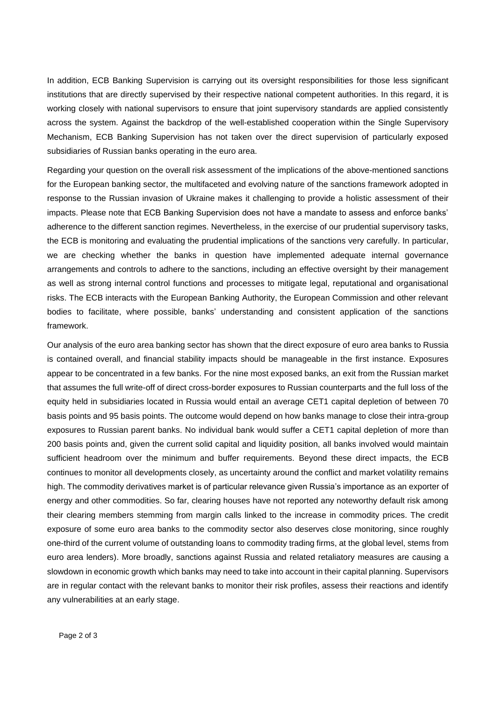In addition, ECB Banking Supervision is carrying out its oversight responsibilities for those less significant institutions that are directly supervised by their respective national competent authorities. In this regard, it is working closely with national supervisors to ensure that joint supervisory standards are applied consistently across the system. Against the backdrop of the well-established cooperation within the Single Supervisory Mechanism, ECB Banking Supervision has not taken over the direct supervision of particularly exposed subsidiaries of Russian banks operating in the euro area.

Regarding your question on the overall risk assessment of the implications of the above-mentioned sanctions for the European banking sector, the multifaceted and evolving nature of the sanctions framework adopted in response to the Russian invasion of Ukraine makes it challenging to provide a holistic assessment of their impacts. Please note that ECB Banking Supervision does not have a mandate to assess and enforce banks' adherence to the different sanction regimes. Nevertheless, in the exercise of our prudential supervisory tasks, the ECB is monitoring and evaluating the prudential implications of the sanctions very carefully. In particular, we are checking whether the banks in question have implemented adequate internal governance arrangements and controls to adhere to the sanctions, including an effective oversight by their management as well as strong internal control functions and processes to mitigate legal, reputational and organisational risks. The ECB interacts with the European Banking Authority, the European Commission and other relevant bodies to facilitate, where possible, banks' understanding and consistent application of the sanctions framework.

Our analysis of the euro area banking sector has shown that the direct exposure of euro area banks to Russia is contained overall, and financial stability impacts should be manageable in the first instance. Exposures appear to be concentrated in a few banks. For the nine most exposed banks, an exit from the Russian market that assumes the full write-off of direct cross-border exposures to Russian counterparts and the full loss of the equity held in subsidiaries located in Russia would entail an average CET1 capital depletion of between 70 basis points and 95 basis points. The outcome would depend on how banks manage to close their intra-group exposures to Russian parent banks. No individual bank would suffer a CET1 capital depletion of more than 200 basis points and, given the current solid capital and liquidity position, all banks involved would maintain sufficient headroom over the minimum and buffer requirements. Beyond these direct impacts, the ECB continues to monitor all developments closely, as uncertainty around the conflict and market volatility remains high. The commodity derivatives market is of particular relevance given Russia's importance as an exporter of energy and other commodities. So far, clearing houses have not reported any noteworthy default risk among their clearing members stemming from margin calls linked to the increase in commodity prices. The credit exposure of some euro area banks to the commodity sector also deserves close monitoring, since roughly one-third of the current volume of outstanding loans to commodity trading firms, at the global level, stems from euro area lenders). More broadly, sanctions against Russia and related retaliatory measures are causing a slowdown in economic growth which banks may need to take into account in their capital planning. Supervisors are in regular contact with the relevant banks to monitor their risk profiles, assess their reactions and identify any vulnerabilities at an early stage.